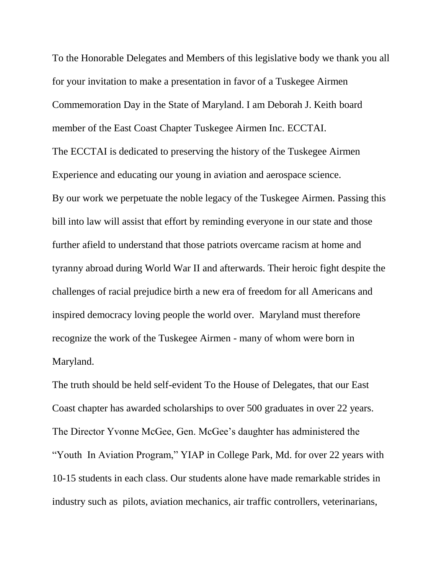To the Honorable Delegates and Members of this legislative body we thank you all for your invitation to make a presentation in favor of a Tuskegee Airmen Commemoration Day in the State of Maryland. I am Deborah J. Keith board member of the East Coast Chapter Tuskegee Airmen Inc. ECCTAI. The ECCTAI is dedicated to preserving the history of the Tuskegee Airmen Experience and educating our young in aviation and aerospace science. By our work we perpetuate the noble legacy of the Tuskegee Airmen. Passing this bill into law will assist that effort by reminding everyone in our state and those further afield to understand that those patriots overcame racism at home and tyranny abroad during World War II and afterwards. Their heroic fight despite the challenges of racial prejudice birth a new era of freedom for all Americans and inspired democracy loving people the world over. Maryland must therefore recognize the work of the Tuskegee Airmen - many of whom were born in Maryland.

The truth should be held self-evident To the House of Delegates, that our East Coast chapter has awarded scholarships to over 500 graduates in over 22 years. The Director Yvonne McGee, Gen. McGee's daughter has administered the "Youth In Aviation Program," YIAP in College Park, Md. for over 22 years with 10-15 students in each class. Our students alone have made remarkable strides in industry such as pilots, aviation mechanics, air traffic controllers, veterinarians,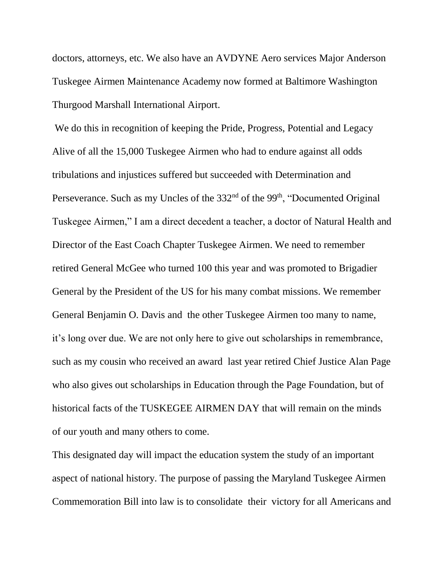doctors, attorneys, etc. We also have an AVDYNE Aero services Major Anderson Tuskegee Airmen Maintenance Academy now formed at Baltimore Washington Thurgood Marshall International Airport.

We do this in recognition of keeping the Pride, Progress, Potential and Legacy Alive of all the 15,000 Tuskegee Airmen who had to endure against all odds tribulations and injustices suffered but succeeded with Determination and Perseverance. Such as my Uncles of the 332<sup>nd</sup> of the 99<sup>th</sup>, "Documented Original Tuskegee Airmen," I am a direct decedent a teacher, a doctor of Natural Health and Director of the East Coach Chapter Tuskegee Airmen. We need to remember retired General McGee who turned 100 this year and was promoted to Brigadier General by the President of the US for his many combat missions. We remember General Benjamin O. Davis and the other Tuskegee Airmen too many to name, it's long over due. We are not only here to give out scholarships in remembrance, such as my cousin who received an award last year retired Chief Justice Alan Page who also gives out scholarships in Education through the Page Foundation, but of historical facts of the TUSKEGEE AIRMEN DAY that will remain on the minds of our youth and many others to come.

This designated day will impact the education system the study of an important aspect of national history. The purpose of passing the Maryland Tuskegee Airmen Commemoration Bill into law is to consolidate their victory for all Americans and